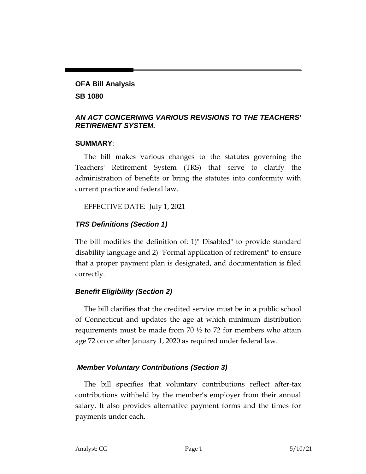# **OFA Bill Analysis SB 1080**

## *AN ACT CONCERNING VARIOUS REVISIONS TO THE TEACHERS' RETIREMENT SYSTEM.*

#### **SUMMARY**:

The bill makes various changes to the statutes governing the Teachers' Retirement System (TRS) that serve to clarify the administration of benefits or bring the statutes into conformity with current practice and federal law.

EFFECTIVE DATE: July 1, 2021

## *TRS Definitions (Section 1)*

The bill modifies the definition of: 1)" Disabled" to provide standard disability language and 2) "Formal application of retirement" to ensure that a proper payment plan is designated, and documentation is filed correctly.

## *Benefit Eligibility (Section 2)*

The bill clarifies that the credited service must be in a public school of Connecticut and updates the age at which minimum distribution requirements must be made from 70  $\frac{1}{2}$  to 72 for members who attain age 72 on or after January 1, 2020 as required under federal law.

## *Member Voluntary Contributions (Section 3)*

The bill specifies that voluntary contributions reflect after-tax contributions withheld by the member's employer from their annual salary. It also provides alternative payment forms and the times for payments under each.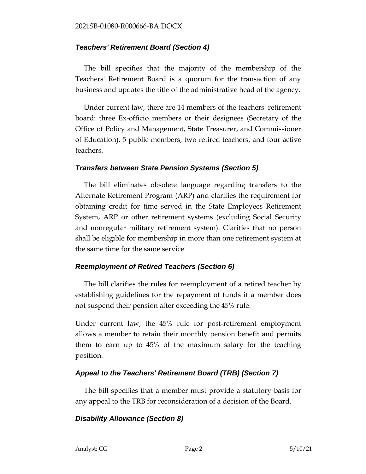#### *Teachers' Retirement Board (Section 4)*

The bill specifies that the majority of the membership of the Teachers' Retirement Board is a quorum for the transaction of any business and updates the title of the administrative head of the agency.

Under current law, there are 14 members of the teachers' retirement board: three Ex-officio members or their designees (Secretary of the Office of Policy and Management, State Treasurer, and Commissioner of Education), 5 public members, two retired teachers, and four active teachers.

#### *Transfers between State Pension Systems (Section 5)*

The bill eliminates obsolete language regarding transfers to the Alternate Retirement Program (ARP) and clarifies the requirement for obtaining credit for time served in the State Employees Retirement System, ARP or other retirement systems (excluding Social Security and nonregular military retirement system). Clarifies that no person shall be eligible for membership in more than one retirement system at the same time for the same service.

## *Reemployment of Retired Teachers (Section 6)*

The bill clarifies the rules for [reemployment](Post%20Retirement%20Employment_GUIDE.pdf) of a retired teacher by establishing guidelines for the repayment of funds if a member does not suspend their pension after exceeding the 45% rule.

Under current law, the 45% rule for post-retirement employment allows a member to retain their monthly pension benefit and permits them to earn up to 45% of the maximum salary for the teaching position.

## *Appeal to the Teachers' Retirement Board (TRB) (Section 7)*

The bill specifies that a member must provide a statutory basis for any appeal to the TRB for reconsideration of a decision of the Board.

## *Disability Allowance (Section 8)*